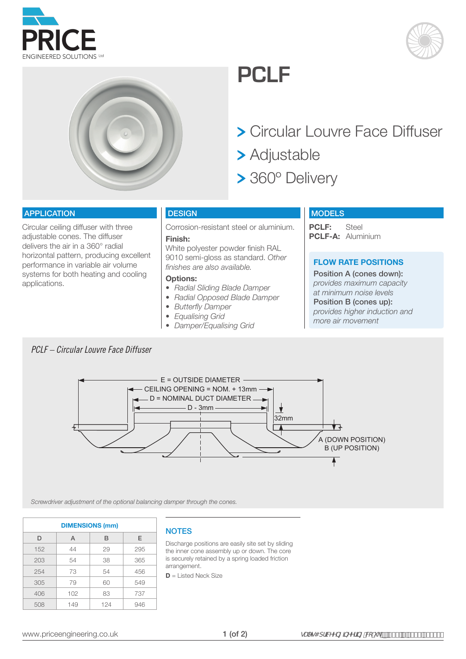





# **PCLF**

- Circular Louvre Face Diffuser
- Adjustable
- > 360° Delivery

#### APPLICATION

Circular ceiling diffuser with three adjustable cones. The diffuser delivers the air in a 360° radial horizontal pattern, producing excellent performance in variable air volume systems for both heating and cooling applications.

# **DESIGN**

Corrosion-resistant steel or aluminium.

# **Finish:**

White polyester powder finish RAL 9010 semi-gloss as standard. *Other finishes are also available.*

## **Options:**

- *• Radial Sliding Blade Damper*
- *• Radial Opposed Blade Damper*
- *• Butterfly Damper*
- *• Equalising Grid*
- *• Damper/Equalising Grid*

## **MODELS**

**PCLF:** Steel **PCLF-A:** Aluminium

# **FLOW RATE POSITIONS**

Position A (cones down): *provides maximum capacity at minimum noise levels* Position B (cones up): *provides higher induction and more air movement*

# *PCLF – Circular Louvre Face Diffuser*



*Screwdriver adjustment of the optional balancing damper through the cones.*

| <b>DIMENSIONS (mm)</b> |     |     |     |  |  |  |  |  |  |  |
|------------------------|-----|-----|-----|--|--|--|--|--|--|--|
| D                      | A   | B   | E   |  |  |  |  |  |  |  |
| 152                    | 44  | 29  | 295 |  |  |  |  |  |  |  |
| 203                    | 54  | 38  | 365 |  |  |  |  |  |  |  |
| 254                    | 73  | 54  | 456 |  |  |  |  |  |  |  |
| 305                    | 79  | 60  | 549 |  |  |  |  |  |  |  |
| 406                    | 102 | 83  | 737 |  |  |  |  |  |  |  |
| 508                    | 149 | 124 | 946 |  |  |  |  |  |  |  |

#### **NOTES**

Discharge positions are easily site set by sliding the inner cone assembly up or down. The core is securely retained by a spring loaded friction arrangement.

**D** = Listed Neck Size